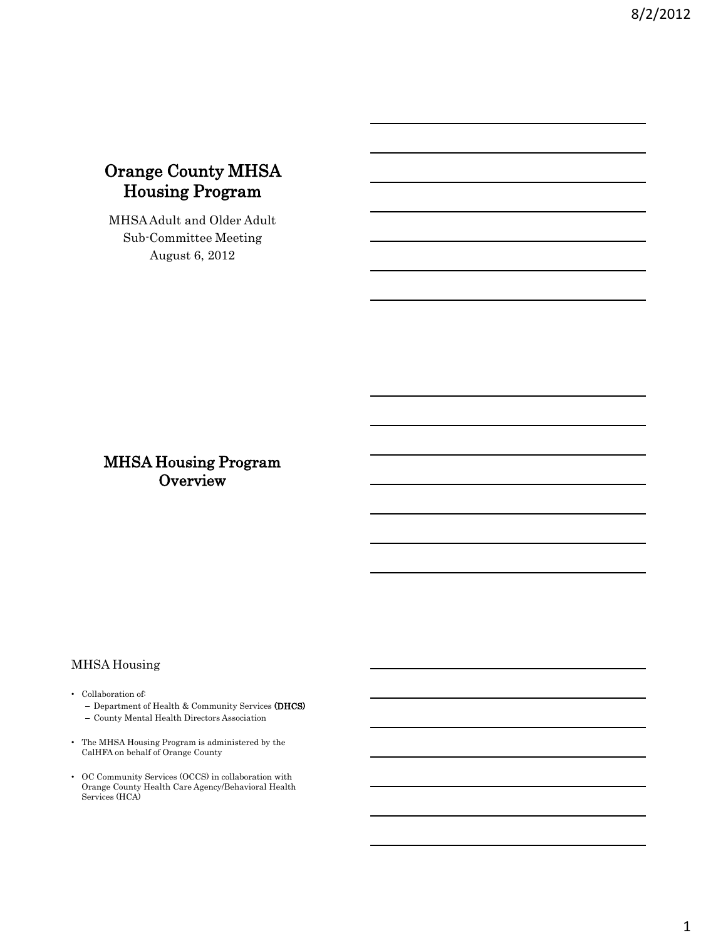# Orange County MHSA Housing Program

MHSA Adult and Older Adult Sub-Committee Meeting August 6, 2012

## MHSA Housing Program **Overview**

## MHSA Housing

- Collaboration of:
	- Department of Health & Community Services (DHCS)
	- County Mental Health Directors Association
- The MHSA Housing Program is administered by the CalHFA on behalf of Orange County
- OC Community Services (OCCS) in collaboration with Orange County Health Care Agency/Behavioral Health Services (HCA)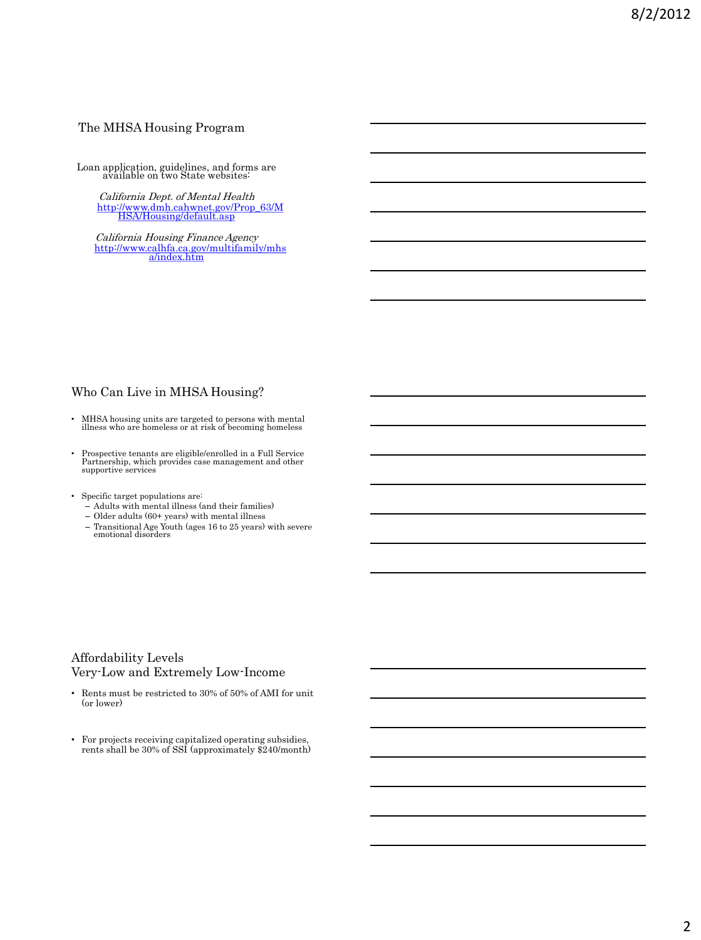#### The MHSA Housing Program

Loan application, guidelines, and forms are available on two State websites:

California Dept. of Mental Health [http://www.dmh.cahwnet.gov/Prop\\_63/M](http://www.dmh.cahwnet.gov/Prop_63/MHSA/Housing/default.asp) [HSA/Housing/default.asp](http://www.dmh.cahwnet.gov/Prop_63/MHSA/Housing/default.asp)

California Housing Finance Agency [http://www.calhfa.ca.gov/multifamily/mhs](http://www.calhfa.ca.gov/multifamily/mhsa/index.htm) [a/index.htm](http://www.calhfa.ca.gov/multifamily/mhsa/index.htm)

## Who Can Live in MHSA Housing?

- MHSA housing units are targeted to persons with mental illness who are homeless or at risk of becoming homeless
- Prospective tenants are eligible/enrolled in a Full Service Partnership, which provides case management and other supportive services
- Specific target populations are:
	- Adults with mental illness (and their families)
	- Older adults (60+ years) with mental illness
	- Transitional Age Youth (ages 16 to 25 years) with severe emotional disorders

## Affordability Levels Very-Low and Extremely Low-Income

- Rents must be restricted to 30% of 50% of AMI for unit (or lower)
- For projects receiving capitalized operating subsidies, rents shall be 30% of SSI (approximately \$240/month)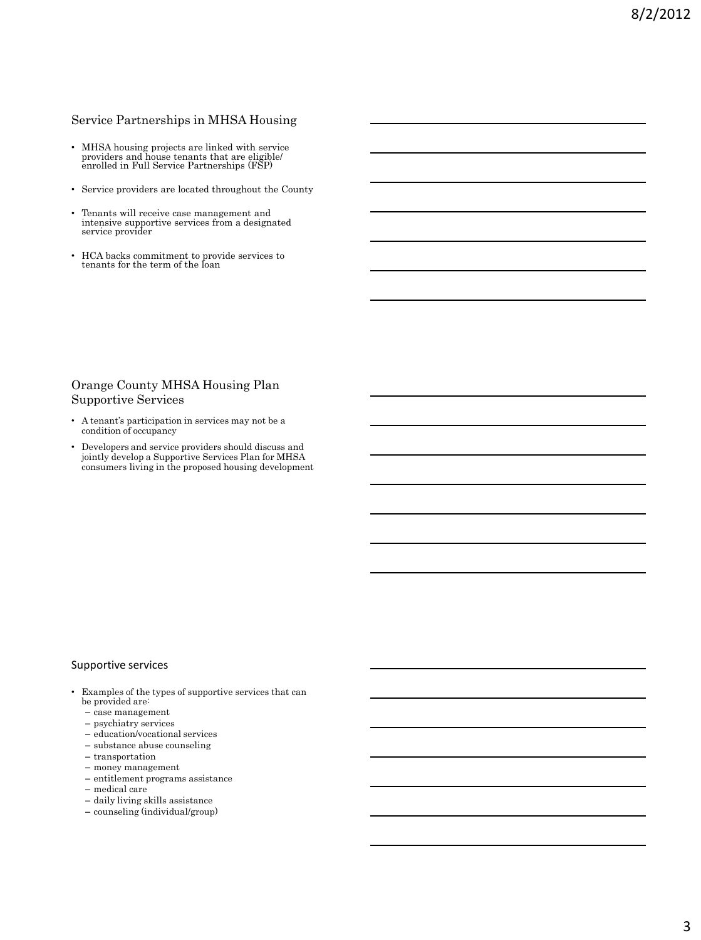## Service Partnerships in MHSA Housing

- MHSA housing projects are linked with service providers and house tenants that are eligible/ enrolled in Full Service Partnerships (FSP)
- Service providers are located throughout the County
- Tenants will receive case management and intensive supportive services from a designated service provider
- HCA backs commitment to provide services to tenants for the term of the loan

## Orange County MHSA Housing Plan Supportive Services

- A tenant's participation in services may not be a condition of occupancy
- Developers and service providers should discuss and jointly develop a Supportive Services Plan for MHSA consumers living in the proposed housing development

#### Supportive services

- Examples of the types of supportive services that can be provided are:
	- case management
	- psychiatry services
	- education/vocational services
	- substance abuse counseling
	- transportation
	- money management
	- entitlement programs assistance
	- medical care
	- daily living skills assistance
	- counseling (individual/group)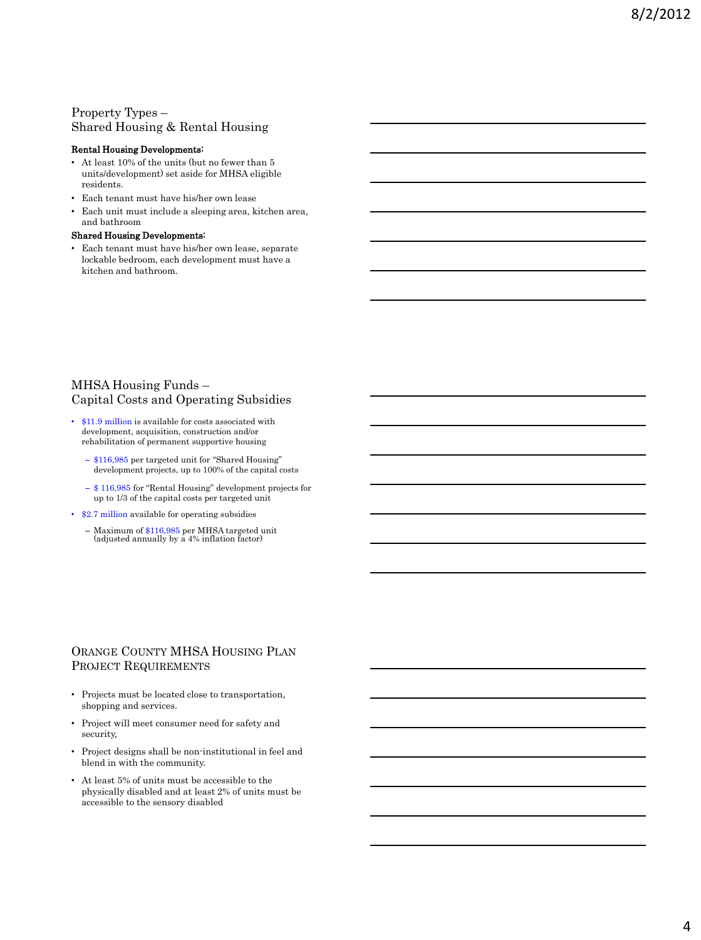## Property Types – Shared Housing & Rental Housing

#### Rental Housing Developments:

- At least 10% of the units (but no fewer than 5 units/development) set aside for MHSA eligible residents.
- Each tenant must have his/her own lease
- Each unit must include a sleeping area, kitchen area, and bathroom

#### Shared Housing Developments:

• Each tenant must have his/her own lease, separate lockable bedroom, each development must have a kitchen and bathroom.

## MHSA Housing Funds – Capital Costs and Operating Subsidies

- \$11.9 million is available for costs associated with development, acquisition, construction and/or rehabilitation of permanent supportive housing
	- \$116,985 per targeted unit for "Shared Housing" development projects, up to 100% of the capital costs
	- \$ 116,985 for "Rental Housing" development projects for up to 1/3 of the capital costs per targeted unit
- \$2.7 million available for operating subsidies
	- Maximum of \$116,985 per MHSA targeted unit (adjusted annually by a 4% inflation factor)

## ORANGE COUNTY MHSA HOUSING PLAN PROJECT REQUIREMENTS

- Projects must be located close to transportation, shopping and services.
- Project will meet consumer need for safety and security,
- Project designs shall be non-institutional in feel and blend in with the community.
- At least 5% of units must be accessible to the physically disabled and at least 2% of units must be accessible to the sensory disabled